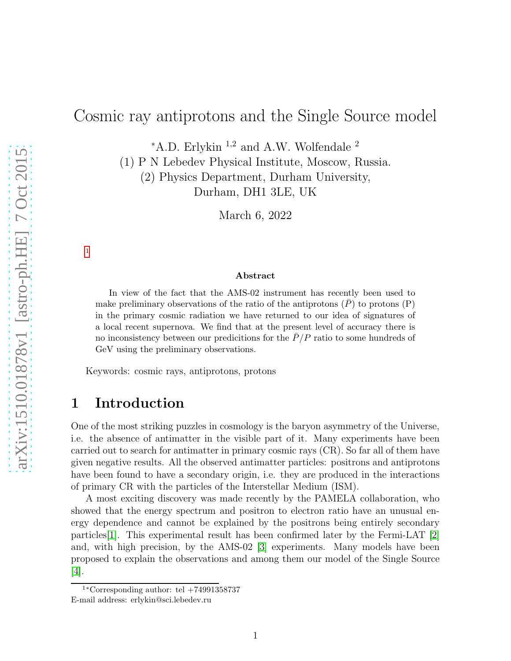# Cosmic ray antiprotons and the Single Source model

 $*A.D.$  Erlykin <sup>1,2</sup> and A.W. Wolfendale <sup>2</sup>

(1) P N Lebedev Physical Institute, Moscow, Russia.

(2) Physics Department, Durham University, Durham, DH1 3LE, UK

March 6, 2022

#### Abstract

In view of the fact that the AMS-02 instrument has recently been used to make preliminary observations of the ratio of the antiprotons  $(P)$  to protons  $(P)$ in the primary cosmic radiation we have returned to our idea of signatures of a local recent supernova. We find that at the present level of accuracy there is no inconsistency between our predicitions for the  $P/P$  ratio to some hundreds of GeV using the preliminary observations.

Keywords: cosmic rays, antiprotons, protons

# 1 Introduction

[1](#page-0-0)

One of the most striking puzzles in cosmology is the baryon asymmetry of the Universe, i.e. the absence of antimatter in the visible part of it. Many experiments have been carried out to search for antimatter in primary cosmic rays (CR). So far all of them have given negative results. All the observed antimatter particles: positrons and antiprotons have been found to have a secondary origin, i.e. they are produced in the interactions of primary CR with the particles of the Interstellar Medium (ISM).

A most exciting discovery was made recently by the PAMELA collaboration, who showed that the energy spectrum and positron to electron ratio have an unusual energy dependence and cannot be explained by the positrons being entirely secondary particles [\[1\]](#page-6-0). This experimental result has been confirmed later by the Fermi-LAT  $[2]$ and, with high precision, by the AMS-02 [\[3\]](#page-6-2) experiments. Many models have been proposed to explain the observations and among them our model of the Single Source [\[4\]](#page-6-3).

<span id="page-0-0"></span> $1*$ Corresponding author: tel  $+74991358737$ E-mail address: erlykin@sci.lebedev.ru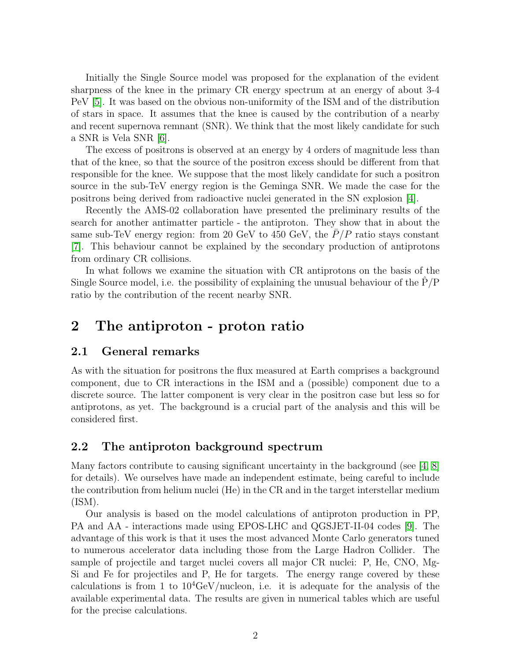Initially the Single Source model was proposed for the explanation of the evident sharpness of the knee in the primary CR energy spectrum at an energy of about 3-4 PeV [\[5\]](#page-6-4). It was based on the obvious non-uniformity of the ISM and of the distribution of stars in space. It assumes that the knee is caused by the contribution of a nearby and recent supernova remnant (SNR). We think that the most likely candidate for such a SNR is Vela SNR [\[6\]](#page-6-5).

The excess of positrons is observed at an energy by 4 orders of magnitude less than that of the knee, so that the source of the positron excess should be different from that responsible for the knee. We suppose that the most likely candidate for such a positron source in the sub-TeV energy region is the Geminga SNR. We made the case for the positrons being derived from radioactive nuclei generated in the SN explosion [\[4\]](#page-6-3).

Recently the AMS-02 collaboration have presented the preliminary results of the search for another antimatter particle - the antiproton. They show that in about the same sub-TeV energy region: from 20 GeV to 450 GeV, the  $P/P$  ratio stays constant [\[7\]](#page-6-6). This behaviour cannot be explained by the secondary production of antiprotons from ordinary CR collisions.

In what follows we examine the situation with CR antiprotons on the basis of the Single Source model, i.e. the possibility of explaining the unusual behaviour of the  $P/P$ ratio by the contribution of the recent nearby SNR.

### 2 The antiproton - proton ratio

#### 2.1 General remarks

As with the situation for positrons the flux measured at Earth comprises a background component, due to CR interactions in the ISM and a (possible) component due to a discrete source. The latter component is very clear in the positron case but less so for antiprotons, as yet. The background is a crucial part of the analysis and this will be considered first.

#### 2.2 The antiproton background spectrum

Many factors contribute to causing significant uncertainty in the background (see  $[4, 8]$  $[4, 8]$ ) for details). We ourselves have made an independent estimate, being careful to include the contribution from helium nuclei (He) in the CR and in the target interstellar medium (ISM).

Our analysis is based on the model calculations of antiproton production in PP, PA and AA - interactions made using EPOS-LHC and QGSJET-II-04 codes [\[9\]](#page-6-8). The advantage of this work is that it uses the most advanced Monte Carlo generators tuned to numerous accelerator data including those from the Large Hadron Collider. The sample of projectile and target nuclei covers all major CR nuclei: P, He, CNO, Mg-Si and Fe for projectiles and P, He for targets. The energy range covered by these calculations is from 1 to  $10^4 \text{GeV/nucleon}$ , i.e. it is adequate for the analysis of the available experimental data. The results are given in numerical tables which are useful for the precise calculations.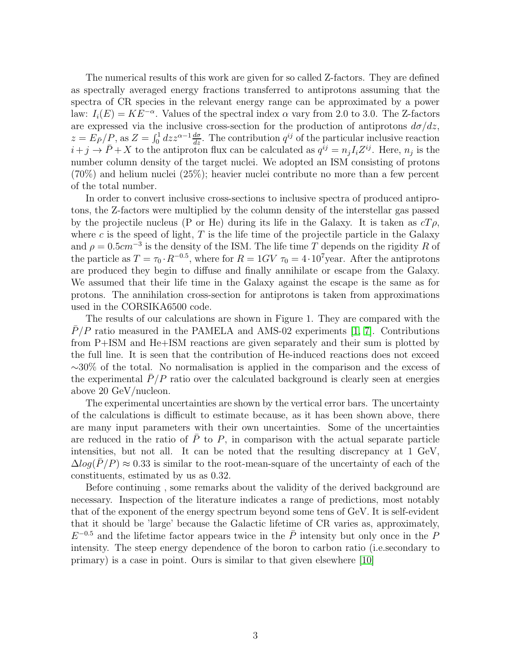The numerical results of this work are given for so called Z-factors. They are defined as spectrally averaged energy fractions transferred to antiprotons assuming that the spectra of CR species in the relevant energy range can be approximated by a power law:  $I_i(E) = KE^{-\alpha}$ . Values of the spectral index  $\alpha$  vary from 2.0 to 3.0. The Z-factors are expressed via the inclusive cross-section for the production of antiprotons  $d\sigma/dz$ ,  $z = E_P/P$ , as  $Z = \int_0^1 dz z^{\alpha-1} \frac{d\sigma}{dz}$ . The contribution  $q^{ij}$  of the particular inclusive reaction  $i+j \rightarrow \bar{P}+X$  to the antiproton flux can be calculated as  $q^{ij} = n_j I_i Z^{ij}$ . Here,  $n_j$  is the number column density of the target nuclei. We adopted an ISM consisting of protons (70%) and helium nuclei (25%); heavier nuclei contribute no more than a few percent of the total number.

In order to convert inclusive cross-sections to inclusive spectra of produced antiprotons, the Z-factors were multiplied by the column density of the interstellar gas passed by the projectile nucleus (P or He) during its life in the Galaxy. It is taken as  $cT\rho$ , where c is the speed of light,  $T$  is the life time of the projectile particle in the Galaxy and  $\rho = 0.5 \text{cm}^{-3}$  is the density of the ISM. The life time T depends on the rigidity R of the particle as  $T = \tau_0 \cdot R^{-0.5}$ , where for  $R = 1GV \tau_0 = 4 \cdot 10^7$  year. After the antiprotons are produced they begin to diffuse and finally annihilate or escape from the Galaxy. We assumed that their life time in the Galaxy against the escape is the same as for protons. The annihilation cross-section for antiprotons is taken from approximations used in the CORSIKA6500 code.

The results of our calculations are shown in Figure 1. They are compared with the  $P/P$  ratio measured in the PAMELA and AMS-02 experiments [\[1,](#page-6-0) [7\]](#page-6-6). Contributions from P+ISM and He+ISM reactions are given separately and their sum is plotted by the full line. It is seen that the contribution of He-induced reactions does not exceed ∼30% of the total. No normalisation is applied in the comparison and the excess of the experimental  $P/P$  ratio over the calculated background is clearly seen at energies above 20 GeV/nucleon.

The experimental uncertainties are shown by the vertical error bars. The uncertainty of the calculations is difficult to estimate because, as it has been shown above, there are many input parameters with their own uncertainties. Some of the uncertainties are reduced in the ratio of  $\overline{P}$  to  $P$ , in comparison with the actual separate particle intensities, but not all. It can be noted that the resulting discrepancy at 1 GeV,  $\Delta log(P/P) \approx 0.33$  is similar to the root-mean-square of the uncertainty of each of the constituents, estimated by us as 0.32.

Before continuing , some remarks about the validity of the derived background are necessary. Inspection of the literature indicates a range of predictions, most notably that of the exponent of the energy spectrum beyond some tens of GeV. It is self-evident that it should be 'large' because the Galactic lifetime of CR varies as, approximately,  $E^{-0.5}$  and the lifetime factor appears twice in the  $\overline{P}$  intensity but only once in the P intensity. The steep energy dependence of the boron to carbon ratio (i.e.secondary to primary) is a case in point. Ours is similar to that given elsewhere [\[10\]](#page-6-9)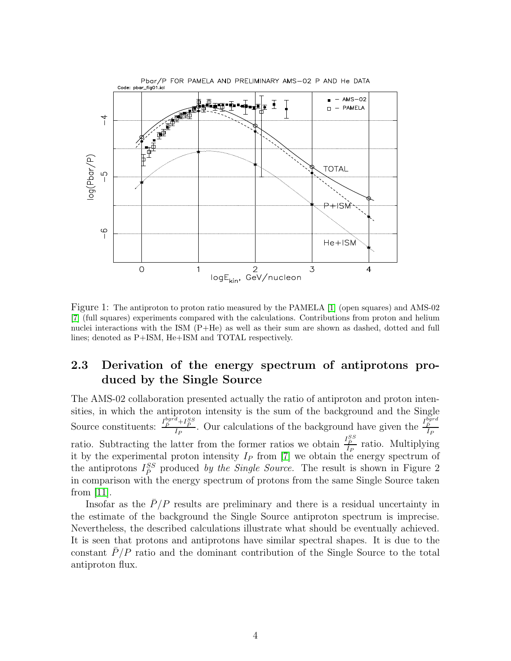

Figure 1: The antiproton to proton ratio measured by the PAMELA [\[1\]](#page-6-0) (open squares) and AMS-02 [\[7\]](#page-6-6) (full squares) experiments compared with the calculations. Contributions from proton and helium nuclei interactions with the ISM (P+He) as well as their sum are shown as dashed, dotted and full lines; denoted as P+ISM, He+ISM and TOTAL respectively.

### 2.3 Derivation of the energy spectrum of antiprotons produced by the Single Source

The AMS-02 collaboration presented actually the ratio of antiproton and proton intensities, in which the antiproton intensity is the sum of the background and the Single Source constituents:  $\frac{I_{\bar{P}}^{bgrd} + I_{\bar{P}}^{SS}}{I_{\bar{P}}}$  $\frac{d+I_{\tilde{P}}^{SS}}{I_P}$ . Our calculations of the background have given the  $\frac{I_{\tilde{P}}^{bgrd}}{I_P}$  $I_F$ ratio. Subtracting the latter from the former ratios we obtain  $\frac{I_P^{SS}}{I_P}$  $\frac{I_{\bar{P}}}{I_{P}}$  ratio. Multiplying it by the experimental proton intensity  $I_P$  from [\[7\]](#page-6-6) we obtain the energy spectrum of the antiprotons  $I_P^{SS}$  produced by the Single Source. The result is shown in Figure 2 in comparison with the energy spectrum of protons from the same Single Source taken from [\[11\]](#page-6-10).

Insofar as the  $\bar{P}/P$  results are preliminary and there is a residual uncertainty in the estimate of the background the Single Source antiproton spectrum is imprecise. Nevertheless, the described calculations illustrate what should be eventually achieved. It is seen that protons and antiprotons have similar spectral shapes. It is due to the constant  $\bar{P}/P$  ratio and the dominant contribution of the Single Source to the total antiproton flux.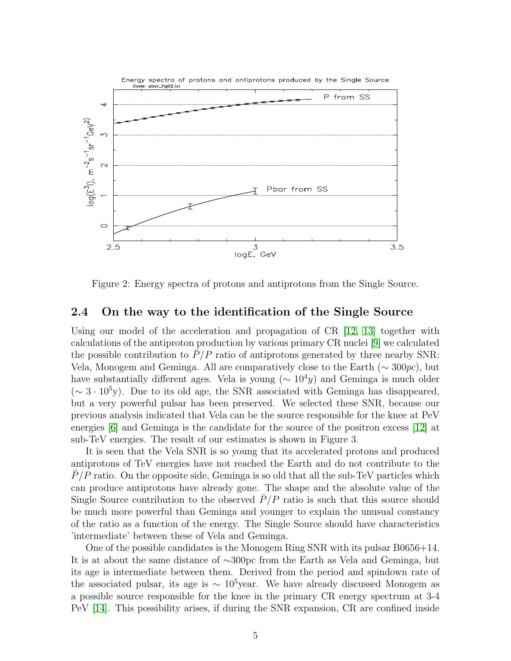

Figure 2: Energy spectra of protons and antiprotons from the Single Source.

#### 2.4 On the way to the identification of the Single Source

Using our model of the acceleration and propagation of CR [\[12,](#page-6-11) [13\]](#page-6-12) together with calculations of the antiproton production by various primary CR nuclei [\[9\]](#page-6-8) we calculated the possible contribution to  $P/P$  ratio of antiprotons generated by three nearby SNR: Vela, Monogem and Geminga. All are comparatively close to the Earth ( $\sim$  300pc), but have substantially different ages. Vela is young ( $\sim 10^4 y$ ) and Geminga is much older  $({\sim 3 \cdot 10^5}$ y). Due to its old age, the SNR associated with Geminga has disappeared, but a very powerful pulsar has been preserved. We selected these SNR, because our previous analysis indicated that Vela can be the source responsible for the knee at PeV energies [\[6\]](#page-6-5) and Geminga is the candidate for the source of the positron excess [\[12\]](#page-6-11) at sub-TeV energies. The result of our estimates is shown in Figure 3.

It is seen that the Vela SNR is so young that its accelerated protons and produced antiprotons of TeV energies have not reached the Earth and do not contribute to the  $P/P$  ratio. On the opposite side, Geminga is so old that all the sub-TeV particles which can produce antiprotons have already gone. The shape and the absolute value of the Single Source contribution to the observed  $\bar{P}/P$  ratio is such that this source should be much more powerful than Geminga and younger to explain the unusual constancy of the ratio as a function of the energy. The Single Source should have characteristics 'intermediate' between these of Vela and Geminga.

One of the possible candidates is the Monogem Ring SNR with its pulsar B0656+14. It is at about the same distance of ∼300pc from the Earth as Vela and Geminga, but its age is intermediate between them. Derived from the period and spindown rate of the associated pulsar, its age is  $\sim 10^5$ year. We have already discussed Monogem as a possible source responsible for the knee in the primary CR energy spectrum at 3-4 PeV [\[14\]](#page-6-13). This possibility arises, if during the SNR expansion, CR are confined inside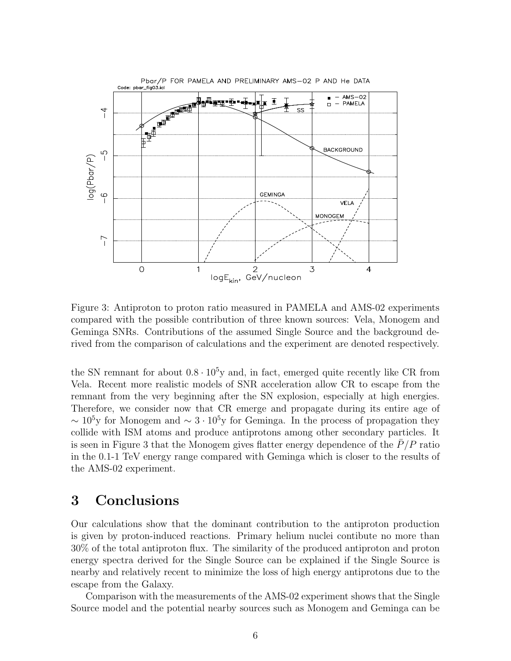

Figure 3: Antiproton to proton ratio measured in PAMELA and AMS-02 experiments compared with the possible contribution of three known sources: Vela, Monogem and Geminga SNRs. Contributions of the assumed Single Source and the background derived from the comparison of calculations and the experiment are denoted respectively.

the SN remnant for about  $0.8 \cdot 10^5$ y and, in fact, emerged quite recently like CR from Vela. Recent more realistic models of SNR acceleration allow CR to escape from the remnant from the very beginning after the SN explosion, especially at high energies. Therefore, we consider now that CR emerge and propagate during its entire age of  $\sim 10^5$ y for Monogem and  $\sim 3 \cdot 10^5$ y for Geminga. In the process of propagation they collide with ISM atoms and produce antiprotons among other secondary particles. It is seen in Figure 3 that the Monogem gives flatter energy dependence of the  $P/P$  ratio in the 0.1-1 TeV energy range compared with Geminga which is closer to the results of the AMS-02 experiment.

### 3 Conclusions

Our calculations show that the dominant contribution to the antiproton production is given by proton-induced reactions. Primary helium nuclei contibute no more than 30% of the total antiproton flux. The similarity of the produced antiproton and proton energy spectra derived for the Single Source can be explained if the Single Source is nearby and relatively recent to minimize the loss of high energy antiprotons due to the escape from the Galaxy.

Comparison with the measurements of the AMS-02 experiment shows that the Single Source model and the potential nearby sources such as Monogem and Geminga can be